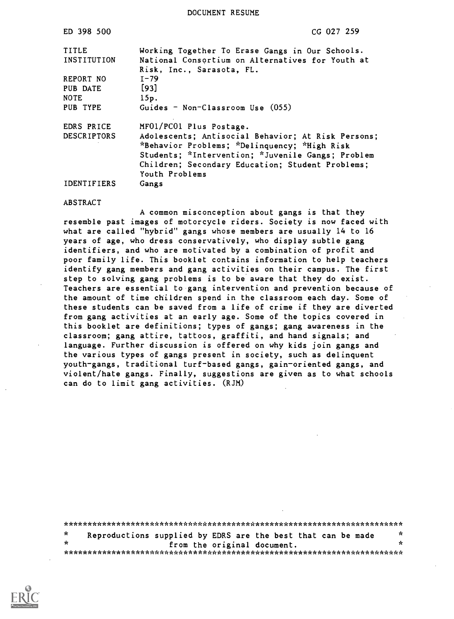DOCUMENT RESUME

| ED 398 500         | $CG$ 027 259                                       |
|--------------------|----------------------------------------------------|
| TITLE              | Working Together To Erase Gangs in Our Schools.    |
| INSTITUTION        | National Consortium on Alternatives for Youth at   |
|                    | Risk, Inc., Sarasota, FL.                          |
| REPORT NO          | $I - 79$                                           |
| PUB DATE           | $[93]$                                             |
| <b>NOTE</b>        | 15p.                                               |
| PUB TYPE           | Guides - Non-Classroom Use $(055)$                 |
| EDRS PRICE         | MF01/PC01 Plus Postage.                            |
| <b>DESCRIPTORS</b> | Adolescents; Antisocial Behavior; At Risk Persons; |
|                    | *Behavior Problems; *Delinquency; *High Risk       |
|                    | Students; *Intervention; *Juvenile Gangs; Problem  |
|                    | Children; Secondary Education; Student Problems;   |
|                    | Youth Problems                                     |
| <b>IDENTIFIERS</b> | Gangs                                              |

#### ABSTRACT

A common misconception about gangs is that they resemble past images of motorcycle riders. Society is now faced with what are called "hybrid" gangs whose members are usually 14 to 16 years of age, who dress conservatively, who display subtle gang identifiers, and who are motivated by a combination of profit and poor family life. This booklet contains information to help teachers identify gang members and gang activities on their campus. The first step to solving gang problems is to be aware that they do exist. Teachers are essential to gang intervention and prevention because of the amount of time children spend in the classroom each day. Some of these students can be saved from a life of crime if they are diverted from gang activities at an early age. Some of the topics covered in this booklet are definitions; types of gangs; gang awareness in the classroom; gang attire, tattoos, graffiti, and hand signals; and language. Further discussion is offered on why kids join gangs and the various types of gangs present in society, such as delinquent youth-gangs, traditional turf-based gangs, gain-oriented gangs, and violent/hate gangs. Finally, suggestions are given as to what schools can do to limit gang activities. (RJM)

| $\star$ | Reproductions supplied by EDRS are the best that can be made |  |  |                             | ĸ |  |
|---------|--------------------------------------------------------------|--|--|-----------------------------|---|--|
| -te     |                                                              |  |  | from the original document. |   |  |
|         |                                                              |  |  |                             |   |  |

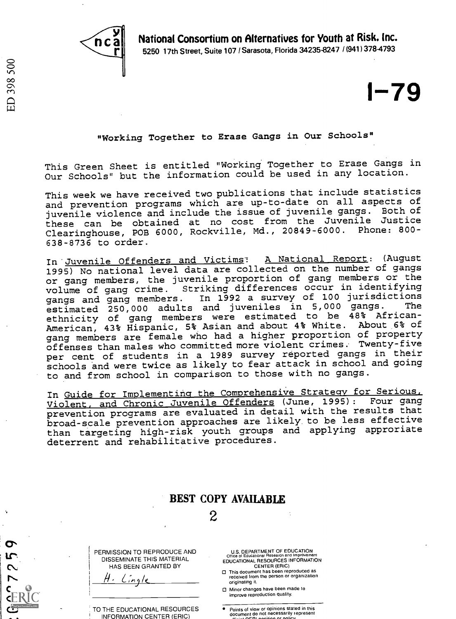National Consortium on Alternatives for Youth at Risk. Inc.



5250 17th Street, Suite 107 / Sarasota, Florida 34235-8247 / (941) 378-4793

 $1 - 79$ 

#### "Working Together to Erase Gangs in Our Schools"

This Green Sheet is entitled "Working Together to Erase Gangs in Our Schools" but the information could be used in any location.

This week we have received two publications that include statistics and prevention programs which are up-to-date on all aspects of juvenile violence and include the issue of juvenile gangs. Both of these can be obtained at no cost from the Juvenile Justice Clearinghouse, POE 6000, Rockville, Md., 20849-6000. Phone: 800- 638 -8736 to order.

In Juvenile Offenders and Victims: A National Report: (August 1995) No national level data are collected on the number of gangs or gang members, the juvenile proportion of gang members or the volume of gang crime. Striking differences occur in identifying gangs and gang members. In 1992 a survey of 100 jurisdictions estimated 250,000 adults and juveniles in 5,000 gangs. The ethnicity of gang members were estimated to be 48% African-American, 43% Hispanic, 5% Asian and about 4% White. About 6% of gang members are female who had a higher proportion of property offenses than males who committed more violent crimes. Twenty-five per cent of students in a 1989 survey reported gangs in their schools and were twice as likely to fear attack in school and going to and from school in comparison to those with no gangs.

In Guide for Implementing the Comprehensive Strategy for Serious, Violent, and Chronic Juvenile Offenders (June, 1995): Four gang prevention programs are evaluated in detail with the results that broad-scale prevention approaches are likely to be less effective than targeting high-risk youth groups and applying approriate deterrent and rehabilitative procedures.

|                                                                                 | <b>BEST COPY AVAILABLE</b>                                                                                                                                                                                                                         |
|---------------------------------------------------------------------------------|----------------------------------------------------------------------------------------------------------------------------------------------------------------------------------------------------------------------------------------------------|
|                                                                                 |                                                                                                                                                                                                                                                    |
|                                                                                 |                                                                                                                                                                                                                                                    |
| PERMISSION TO REPRODUCE AND<br>DISSEMINATE THIS MATERIAL<br>HAS BEEN GRANTED BY | U.S. DEPARTMENT OF EDUCATION<br>Office of Educational Research and Improvement<br>EDUCATIONAL RESOURCES INFORMATION<br><b>CENTER (ERIC)</b><br>This document has been reproduced as<br>received from the person or organization<br>originating it. |
|                                                                                 | Minor changes have been made to<br>improve reproduction quality.                                                                                                                                                                                   |
| TO THE EDUCATIONAL RESOURCES<br><b>INFORMATION CENTER (ERIC)</b>                | Points of view or opinions stated in this<br>document do not necessarily represent<br>$m \sim \lambda$ of BL sacirion or policy.                                                                                                                   |

 $\boldsymbol{\sigma}$ 5

72  $\mathbf{C}$ È  $\mathcal{L}$   $\mathcal{L}$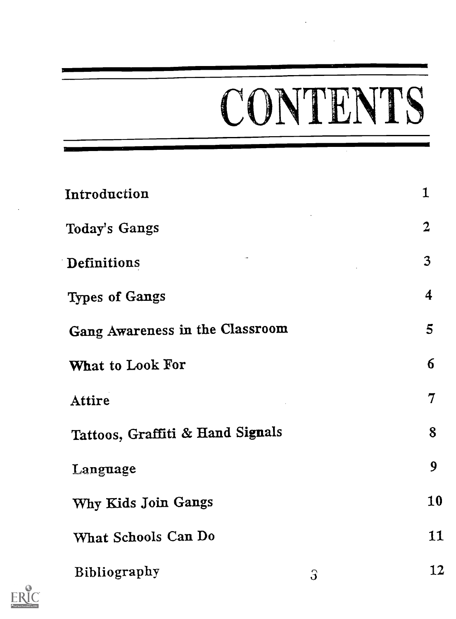# CONTENTS

| Introduction                     | $\mathbf{1}$            |
|----------------------------------|-------------------------|
| Today's Gangs                    | $\overline{2}$          |
| Definitions                      | $\overline{3}$          |
| <b>Types of Gangs</b>            | $\overline{\mathbf{4}}$ |
| Gang Awareness in the Classroom  | 5                       |
| What to Look For                 | $6\overline{6}$         |
| Attire                           | $\overline{7}$          |
| Tattoos, Graffiti & Hand Signals | 8                       |
| Language                         | 9                       |
| Why Kids Join Gangs              | 10                      |
| What Schools Can Do              | 11                      |
| <b>Bibliography</b><br>$\Im$     | 12                      |

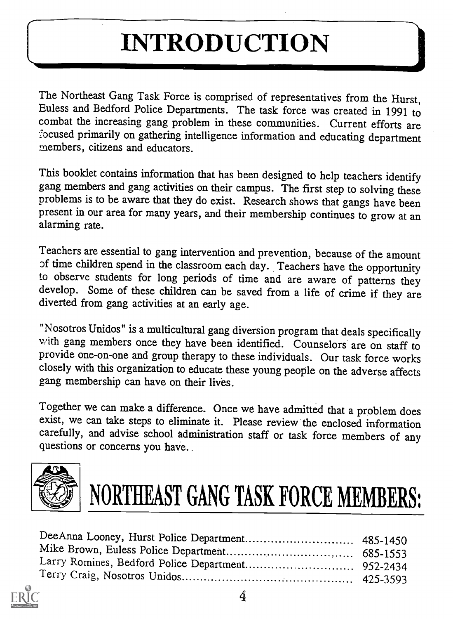### INTRODUCTION

The Northeast Gang Task Force is comprised of representatives from the Hurst, Euless and Bedford Police Departments. The task force was created in 1991 to combat the increasing gang problem in these communities. Current efforts are focused primarily on gathering intelligence information and educating department members, citizens and educators.

This booklet contains information that has been designed to help teachers identify gang members and gang activities on their campus. The first step to solving these problems is to be aware that they do exist. Research shows that gangs have been present in our area for many years, and their membership continues to grow at an alarming rate.

Teachers are essential to gang intervention and prevention, because of the amount of time children spend in the classroom each day. Teachers have the opportunity to observe students for long periods of time and are aware of patterns they develop. Some of these children can be saved from a life of crime if they are diverted from gang activities at an early age.

"Nosotros Unidos" is a multicultural gang diversion program that deals specifically with gang members once they have been identified. Counselors are on staff to provide one-on-one and group therapy to these individuals. Our task force works closely with this organization to educate these young people on the adverse affects gang membership can have on their lives.

Together we can make a difference. Once we have admitted that a problem does exist, we can take steps to eliminate it. Please review the enclosed information carefully, and advise school administration staff or task force members of any questions or concerns you have..





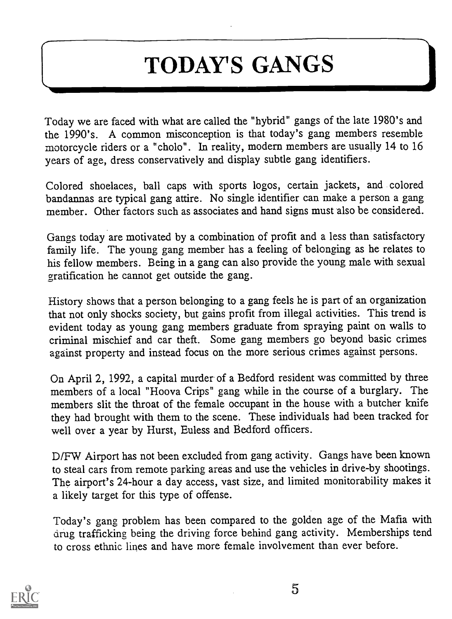### TODAY'S GANGS

Today we are faced with what are called the "hybrid" gangs of the late 1980's and the 1990's. A common misconception is that today's gang members resemble motorcycle riders or a "cholo". In reality, modern members are usually 14 to 16 years of age, dress conservatively and display subtle gang identifiers.

Colored shoelaces, ball caps with sports logos, certain jackets, and colored bandannas are typical gang attire. No single identifier can make a person a gang member. Other factors such as associates and hand signs must also be considered.

Gangs today are motivated by a combination of profit and a less than satisfactory family life. The young gang member has a feeling of belonging as he relates to his fellow members. Being in a gang can also provide the young male with sexual gratification he cannot get outside the gang.

History shows that a person belonging to a gang feels he is part of an organization that not only shocks society, but gains profit from illegal activities. This trend is evident today as young gang members graduate from spraying paint on walls to criminal mischief and car theft. Some gang members go beyond basic crimes against property and instead focus on the more serious crimes against persons.

On April 2, 1992, a capital murder of a Bedford resident was committed by three members of a local "Hoova Crips" gang while in the course of a burglary. The members slit the throat of the female occupant in the house with a butcher knife they had brought with them to the scene. These individuals had been tracked for well over a year by Hurst, Euless and Bedford officers.

D/FW Airport has not been excluded from gang activity. Gangs have been known to steal cars from remote parking areas and use the vehicles in drive-by shootings. The airport's 24-hour a day access, vast size, and limited monitorability makes it a likely target for this type of offense.

Today's gang problem has been compared to the golden age of the Mafia with drug trafficking being the driving force behind gang activity. Memberships tend to cross ethnic lines and have more female involvement than ever before.

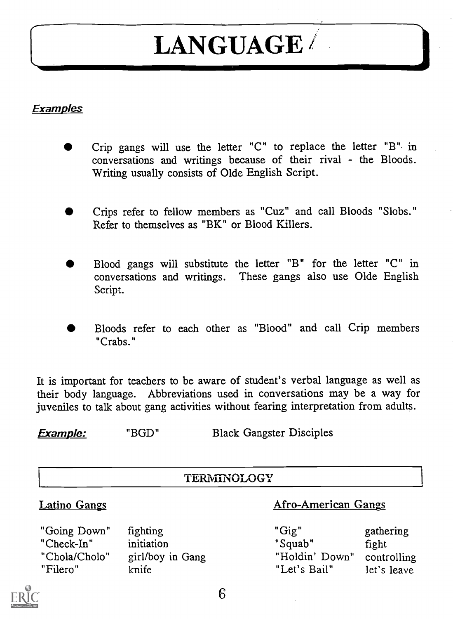### LANGUAGE/

#### **Examples**

- Crip gangs will use the letter "C" to replace the letter "B" in conversations and writings because of their rival - the Bloods. Writing usually consists of Olde English Script.
- Crips refer to fellow members as "Cuz" and call Bloods "Slobs." Refer to themselves as "BK" or Blood Killers.
- Blood gangs will substitute the letter "B" for the letter "C" in conversations and writings. These gangs also use Olde English Script.
- Bloods refer to each other as "Blood" and call Crip members "Crabs."

It is important for teachers to be aware of student's verbal language as well as their body language. Abbreviations used in conversations may be a way for juveniles to talk about gang activities without fearing interpretation from adults.

**Example:** "BGD" Black Gangster Disciples

#### TERNIINOLOGY

#### Latino Gangs

#### "Going Down" "Check-In" "Chola/Cholo" "Filero" fighting initiation girl/boy in Gang knife

#### Afro-American Gangs

"Gig" "Squab" "Holdin' Down" "Let's Bail" gathering fight controlling let's leave



6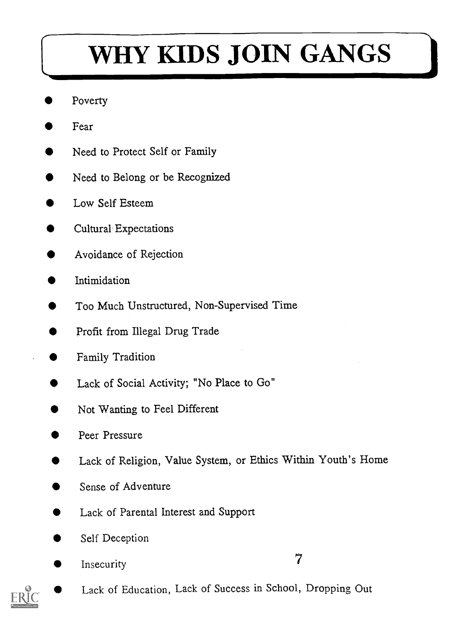### WHY KIDS JOIN GANGS

- Poverty
- Fear
- Need to Protect Self or Family
- Need to Belong or be Recognized
- Low Self Esteem
- Cultural Expectations
- Avoidance of Rejection
- Intimidation
- Too Much Unstructured, Non-Supervised Time
- Profit from Illegal Drug Trade
- Family Tradition
- Lack of Social Activity; "No Place to Go"
- Not Wanting to Feel Different
- Peer Pressure
- Lack of Religion, Value System, or Ethics Within Youth's Home
- Sense of Adventure
- Lack of Parental Interest and Support
- Self Deception
- Insecurity 7
- Lack of Education, Lack of Success in School, Dropping Out

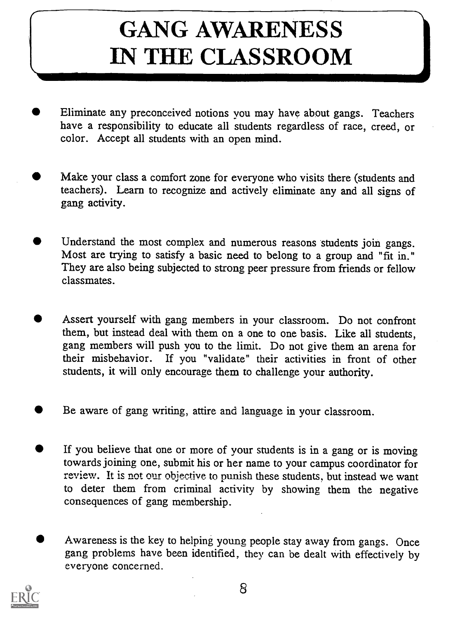### GANG AWARENESS IN THE CLASSROOM

- Eliminate any preconceived notions vou may have about gangs. Teachers have a responsibility to educate all students regardless of race, creed, or color. Accept all students with an open mind.
- Make your class a comfort zone for everyone who visits there (students and teachers). Learn to recognize and actively eliminate any and all signs of gang activity.
- Understand the most complex and numerous reasons students join gangs. Most are trying to satisfy a basic need to belong to a group and "fit in." They are also being subjected to strong peer pressure from friends or fellow classmates.
- Assert yourself with gang members in your classroom. Do not confront them, but instead deal with them on a one to one basis. Like all students, gang members will push you to the limit. Do not give them an arena for their misbehavior. If you "validate" their activities in front of other students, it will only encourage them to challenge your authority.
- Be aware of gang writing, attire and language in your classroom.
- If you believe that one or more of your students is in a gang or is moving towards joining one, submit his or her name to your campus coordinator for review. It is not our objective to punish these students, but instead we want to deter them from criminal activity by showing them the negative consequences of gang membership.
- Awareness is the key to helping young people stay away from gangs. Once gang problems have been identified, they can be dealt with effectively by everyone concerned.

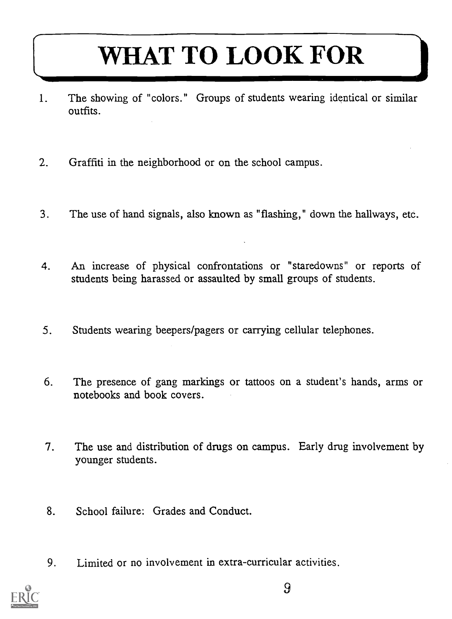### WHAT TO LOOK FOR

- 1. The showing of "colors." Groups of students wearing identical or similar outfits.
- 2. Graffiti in the neighborhood or on the school campus.
- 3. The use of hand signals, also known as "flashing," down the hallways, etc.
- 4. An increase of physical confrontations or "staredowns" or reports of students being harassed or assaulted by small groups of students.
- 5. Students wearing beepers/pagers or carrying cellular telephones.
- 6. The presence of gang markings or tattoos on a student's hands, arms or notebooks and book covers.
- 7. The use and distribution of drugs on campus. Early drug involvement by younger students.
- 8. School failure: Grades and Conduct.
- 9. Limited or no involvement in extra-curricular activities.

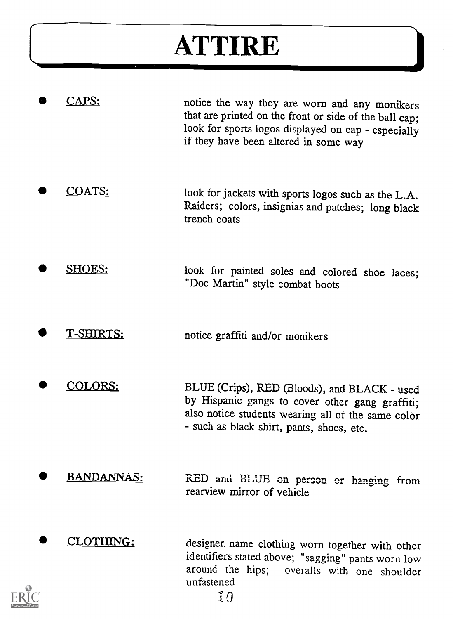### ATTIRE

| APS:               | notice the way they are worn and any monikers<br>that are printed on the front or side of the ball cap;<br>look for sports logos displayed on cap - especially<br>if they have been altered in some way |
|--------------------|---------------------------------------------------------------------------------------------------------------------------------------------------------------------------------------------------------|
| <u>COATS:</u>      | look for jackets with sports logos such as the L.A.<br>Raiders; colors, insignias and patches; long black<br>trench coats                                                                               |
| <b>SHOES:</b>      | look for painted soles and colored shoe laces;<br>"Doc Martin" style combat boots                                                                                                                       |
| T-SHIRTS:          | notice graffiti and/or monikers                                                                                                                                                                         |
| <b>COLORS:</b>     | BLUE (Crips), RED (Bloods), and BLACK - used<br>by Hispanic gangs to cover other gang graffiti;<br>also notice students wearing all of the same color<br>- such as black shirt, pants, shoes, etc.      |
| <u> BANDANNAS:</u> | RED and BLUE on person or hanging from<br>rearview mirror of vehicle                                                                                                                                    |
| CLOTHING:          | designer name clothing worn together with other<br>identifiers stated above; "sagging" pants worn low<br>around the hips; overalls with one shoulder<br>unfastened<br>$10^{\circ}$                      |



I-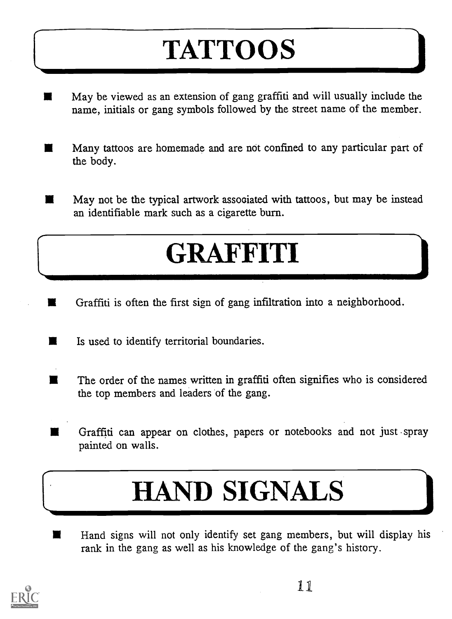## **TATTOOS**

- May be viewed as an extension of gang graffiti and will usually include the  $\blacksquare$ name, initials or gang symbols followed by the street name of the member.
- $\blacksquare$ Many tattoos are homemade and are not confined to any particular part of the body.
- May not be the typical artwork assooiated with tattoos, but may be instead п an identifiable mark such as a cigarette burn.

### GRAFFITI

- Graffiti is often the first sign of gang infiltration into a neighborhood.
- Is used to identify territorial boundaries. ш
- The order of the names written in graffiti often signifies who is considered  $\blacksquare$ the top members and leaders of the gang.
- Graffiti can appear on clothes, papers or notebooks and not just spray painted on walls.

### HAND SIGNALS

Hand signs will not only identify set gang members, but will display his ■ rank in the gang as well as his knowledge of the gang's history.



I-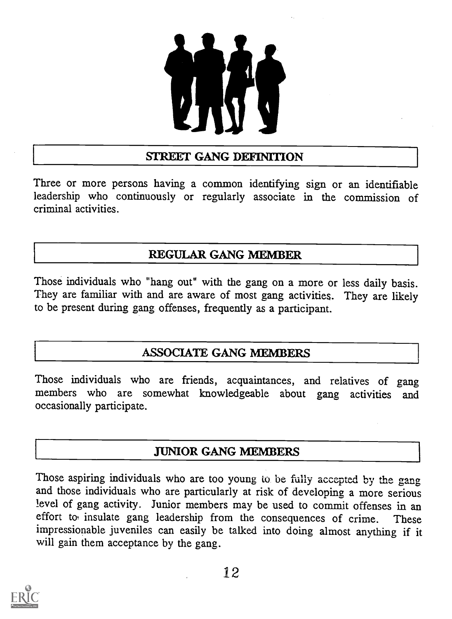

#### STREET GANG DEFINITION

Three or more persons having a common identifying sign or an identifiable leadership who continuously or regularly associate in the commission of criminal activities.

#### REGULAR GANG MEMBER

Those individuals who "hang out" with the gang on a more or less daily basis. They are familiar with and are aware of most gang activities. They are likely to be present during gang offenses, frequently as a participant.

#### ASSOCIATE GANG MEMBERS

Those individuals who are friends, acquaintances, and relatives of gang members who are somewhat knowledgeable about gang activities and occasionally participate.

#### JUNIOR GANG MEMBERS

Those aspiring individuals who are too young to be fully accepted by the gang and those individuals who are particularly at risk of developing a more serious level of gang activity. Junior members may be used to commit offenses in an effort to insulate gang leadership from the consequences of crime. These impressionable juveniles can easily be talked into doing almost anything if it will gain them acceptance by the gang.

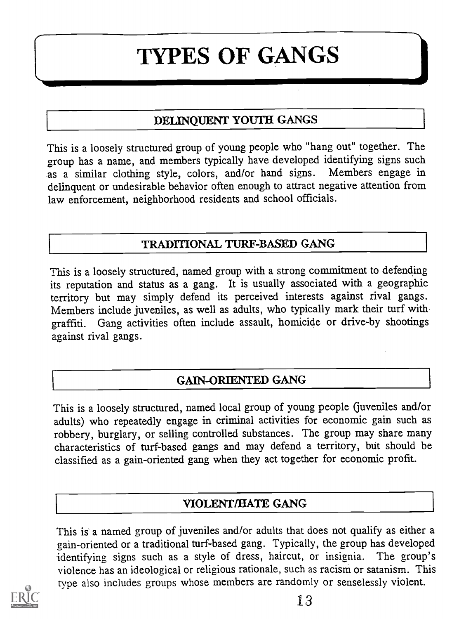### TYPES OF GANGS

#### DELINQUENT YOUTH GANGS

This is a loosely structured group of young people who "hang out" together. The group has a name, and members typically have developed identifying signs such as a similar clothing style, colors, and/or hand signs. Members engage in delinquent or undesirable behavior often enough to attract negative attention from law enforcement, neighborhood residents and school officials.

#### TRADITIONAL TURF-BASED GANG

This is a loosely structured, named group with a strong commitment to defending its reputation and status as a gang. It is usually associated with a geographic territory but may simply defend its perceived interests against rival gangs. Members include juveniles, as well as adults, who typically mark their turf with graffiti. Gang activities often include assault, homicide or drive-by shootings against rival gangs.

#### GAIN-ORIENTED GANG

This is a loosely structured, named local group of young people (juveniles and/or adults) who repeatedly engage in criminal activities for economic gain such as robbery, burglary, or selling controlled substances. The group may share many characteristics of turf-based gangs and may defend a territory, but should be classified as a gain-oriented gang when they act together for economic profit.

#### VIOLENT/HATE GANG

This is a named group of juveniles and/or adults that does not qualify as either a gain-oriented or a traditional turf-based gang. Typically, the group has developed identifying signs such as a style of dress, haircut, or insignia. The group's violence has an ideological or religious rationale, such as racism or satanism. This type also includes groups whose members are randomly or senselessly violent.

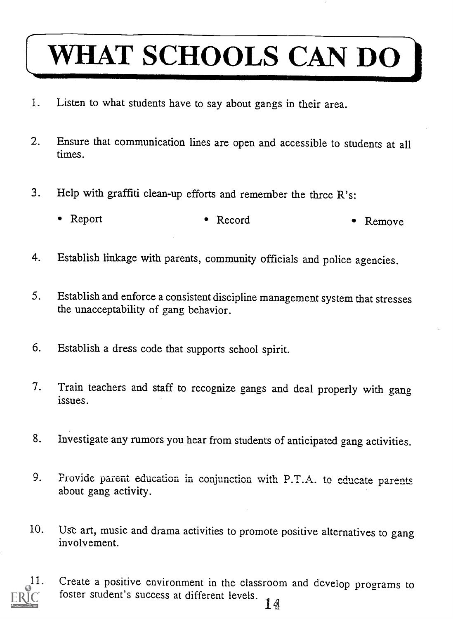# WHAT SCHOOLS CAN DO

- 1. Listen to what students have to say about gangs in their area.
- 2. Ensure that communication lines are open and accessible to students at all times.
- 3. Help with graffiti clean-up efforts and remember the three R's:
	- Report Record Remove
- 4. Establish linkage with parents, community officials and police agencies.
- 5. Establish and enforce a consistent discipline management system that stresses the unacceptability of gang behavior.
- 6. Establish a dress code that supports school spirit.
- 7. Train teachers and staff to recognize gangs and deal properly with gang issues.
- 8. Investigate any rumors you hear from students of anticipated gang activities.
- 9. Provide parent education in conjunction with P.T.A. to educate parents about gang activity.
- 10. Use art, music and drama activities to promote positive alternatives to gang involvement.



11. Create a positive environment in the classroom and develop programs to foster student's success at different levels.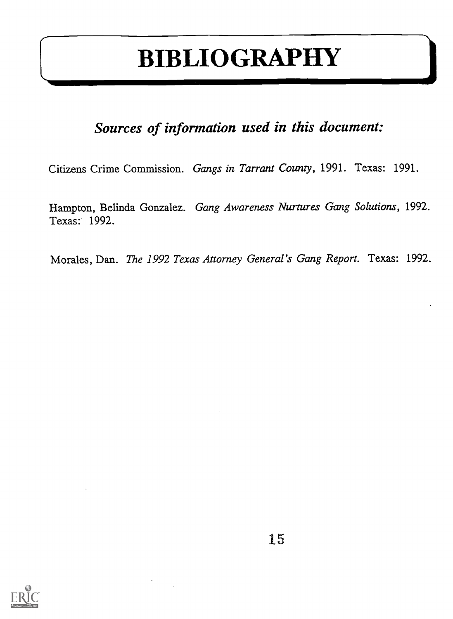### BIBLIOGRAPHY

### Sources of information used in this document:

Citizens Crime Commission. Gangs in Tarrant County, 1991. Texas: 1991.

Hampton, Belinda Gonzalez. Gang Awareness Nurtures Gang Solutions, 1992. Texas: 1992.

Morales, Dan. The 1992 Texas Attorney General's Gang Report. Texas: 1992.

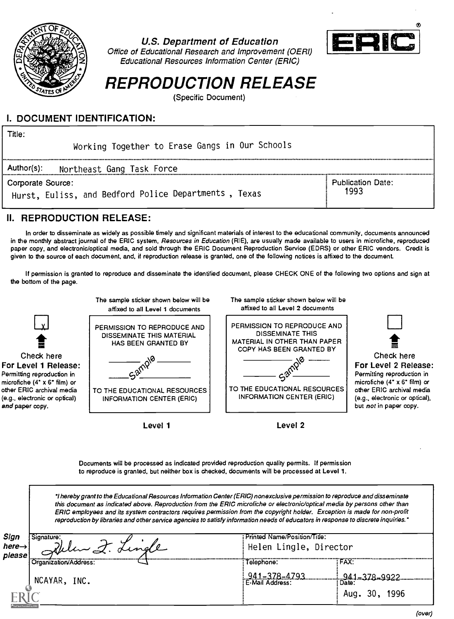

#### Some of Educational Research and improvement (SENII)<br>Educational Resources Information Center (ERIC) **U.S. Department of Education**<br>Office of Educational Research and Improvement (OERI)<br>Educational Resources Information Center (ERIC) Office of Educational Research and Improvement (OERI) LE



### REPRODUCTION RELEASE

(Specific Document)

#### I. DOCUMENT IDENTIFICATION:

Title:

Working Together to Erase Gangs in Our Schools

Author(s): Northeast Gang Task Force

Corporate Source:

Hurst, Euliss, and Bedford Police Departments , Texas

Publication Date: 1993

#### II. REPRODUCTION RELEASE:

In order to disseminate as widely as possible timely and significant materials of interest to the educational community, documents announced in the monthly abstract journal of the ERIC system, Resources in Education (RIE), are usually made available to users in microfiche, reproduced paper copy, and electronic/optical media, and sold through the ERIC Document Reproduction Service (EDRS) or other ERIC vendors. Credit is given to the source of each document, and, if reproduction release is granted, one of the following notices is affixed to the document.

If permission is granted to reproduce and disseminate the identified document, please CHECK ONE of the following two options and sign at the bottom of the page.



Documents will be processed as indicated provided reproduction quality permits. If permission to reproduce is granted, but neither box is checked, documents will be processed at Level 1.

hereby grant to the Educational Resources Information Center (ERIC) nonexclusive permission to reproduce and disseminate this document as indicated above. Reproduction from the ERIC microfiche or electronic/optical media by persons other than ERIC employees and its system contractors requires permission from the copyright holder. Exception is made for non-profit reproduction by libraries and other service agencies to satisfy information needs of educators in response to discrete inquiries.'

| Sign<br>Signature:<br>Welen I. Lingle<br>here $\rightarrow$<br>please |                       | : Printed Name/Position/Title:<br>Helen Lingle, Director |               |  |  |
|-----------------------------------------------------------------------|-----------------------|----------------------------------------------------------|---------------|--|--|
|                                                                       | Organization/Address: | Telephone:                                               | FAX:          |  |  |
|                                                                       | NCAYAR, INC.          | $941 - 378 - 4793$<br>E-Mail Address:                    | : Date:       |  |  |
| Full Text Provided by ERIC                                            |                       |                                                          | Aug. 30, 1996 |  |  |